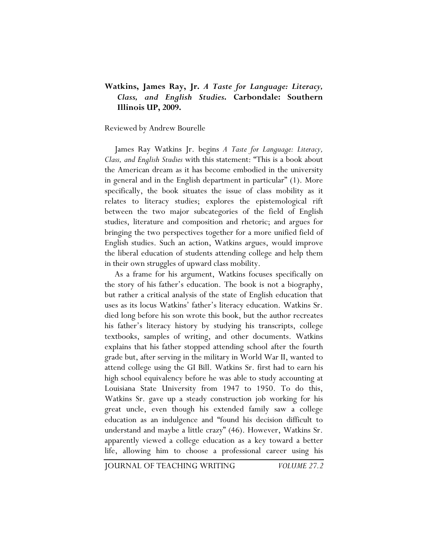## **Watkins, James Ray, Jr.** *A Taste for Language: Literacy, Class, and English Studies***. Carbondale: Southern Illinois UP, 2009.**

## Reviewed by Andrew Bourelle

James Ray Watkins Jr. begins *A Taste for Language: Literacy, Class, and English Studies* with this statement: "This is a book about the American dream as it has become embodied in the university in general and in the English department in particular" (1). More specifically, the book situates the issue of class mobility as it relates to literacy studies; explores the epistemological rift between the two major subcategories of the field of English studies, literature and composition and rhetoric; and argues for bringing the two perspectives together for a more unified field of English studies. Such an action, Watkins argues, would improve the liberal education of students attending college and help them in their own struggles of upward class mobility.

As a frame for his argument, Watkins focuses specifically on the story of his father's education. The book is not a biography, but rather a critical analysis of the state of English education that uses as its locus Watkins' father's literacy education. Watkins Sr. died long before his son wrote this book, but the author recreates his father's literacy history by studying his transcripts, college textbooks, samples of writing, and other documents. Watkins explains that his father stopped attending school after the fourth grade but, after serving in the military in World War II, wanted to attend college using the GI Bill. Watkins Sr. first had to earn his high school equivalency before he was able to study accounting at Louisiana State University from 1947 to 1950. To do this, Watkins Sr. gave up a steady construction job working for his great uncle, even though his extended family saw a college education as an indulgence and "found his decision difficult to understand and maybe a little crazy" (46). However, Watkins Sr. apparently viewed a college education as a key toward a better life, allowing him to choose a professional career using his

JOURNAL OF TEACHING WRITING *VOLUME 27.2*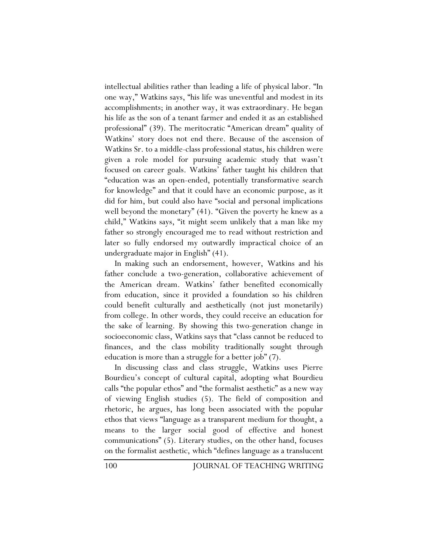intellectual abilities rather than leading a life of physical labor. "In one way," Watkins says, "his life was uneventful and modest in its accomplishments; in another way, it was extraordinary. He began his life as the son of a tenant farmer and ended it as an established professional" (39). The meritocratic "American dream" quality of Watkins' story does not end there. Because of the ascension of Watkins Sr. to a middle-class professional status, his children were given a role model for pursuing academic study that wasn't focused on career goals. Watkins' father taught his children that "education was an open-ended, potentially transformative search for knowledge" and that it could have an economic purpose, as it did for him, but could also have "social and personal implications well beyond the monetary" (41). "Given the poverty he knew as a child," Watkins says, "it might seem unlikely that a man like my father so strongly encouraged me to read without restriction and later so fully endorsed my outwardly impractical choice of an undergraduate major in English" (41).

In making such an endorsement, however, Watkins and his father conclude a two-generation, collaborative achievement of the American dream. Watkins' father benefited economically from education, since it provided a foundation so his children could benefit culturally and aesthetically (not just monetarily) from college. In other words, they could receive an education for the sake of learning. By showing this two-generation change in socioeconomic class, Watkins says that "class cannot be reduced to finances, and the class mobility traditionally sought through education is more than a struggle for a better job" (7).

In discussing class and class struggle, Watkins uses Pierre Bourdieu's concept of cultural capital, adopting what Bourdieu calls "the popular ethos" and "the formalist aesthetic" as a new way of viewing English studies (5). The field of composition and rhetoric, he argues, has long been associated with the popular ethos that views "language as a transparent medium for thought, a means to the larger social good of effective and honest communications" (5). Literary studies, on the other hand, focuses on the formalist aesthetic, which "defines language as a translucent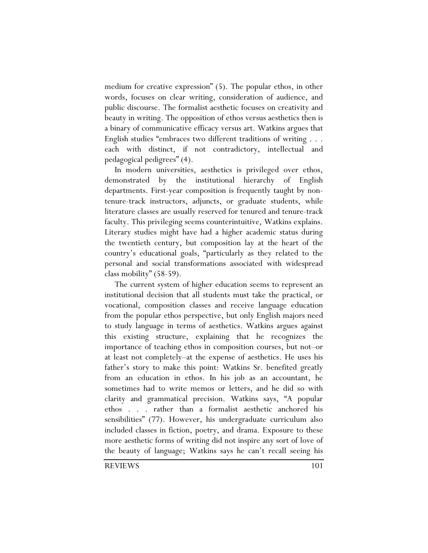medium for creative expression" (5). The popular ethos, in other words, focuses on clear writing, consideration of audience, and public discourse. The formalist aesthetic focuses on creativity and beauty in writing. The opposition of ethos versus aesthetics then is a binary of communicative efficacy versus art. Watkins argues that English studies "embraces two different traditions of writing . . . each with distinct, if not contradictory, intellectual and pedagogical pedigrees" (4).

In modern universities, aesthetics is privileged over ethos, demonstrated by the institutional hierarchy of English departments. First-year composition is frequently taught by nontenure-track instructors, adjuncts, or graduate students, while literature classes are usually reserved for tenured and tenure-track faculty. This privileging seems counterintuitive, Watkins explains. Literary studies might have had a higher academic status during the twentieth century, but composition lay at the heart of the country's educational goals, "particularly as they related to the personal and social transformations associated with widespread class mobility" (58-59).

The current system of higher education seems to represent an institutional decision that all students must take the practical, or vocational, composition classes and receive language education from the popular ethos perspective, but only English majors need to study language in terms of aesthetics. Watkins argues against this existing structure, explaining that he recognizes the importance of teaching ethos in composition courses, but not–or at least not completely–at the expense of aesthetics. He uses his father's story to make this point: Watkins Sr. benefited greatly from an education in ethos. In his job as an accountant, he sometimes had to write memos or letters, and he did so with clarity and grammatical precision. Watkins says, "A popular ethos . . . rather than a formalist aesthetic anchored his sensibilities" (77). However, his undergraduate curriculum also included classes in fiction, poetry, and drama. Exposure to these more aesthetic forms of writing did not inspire any sort of love of the beauty of language; Watkins says he can't recall seeing his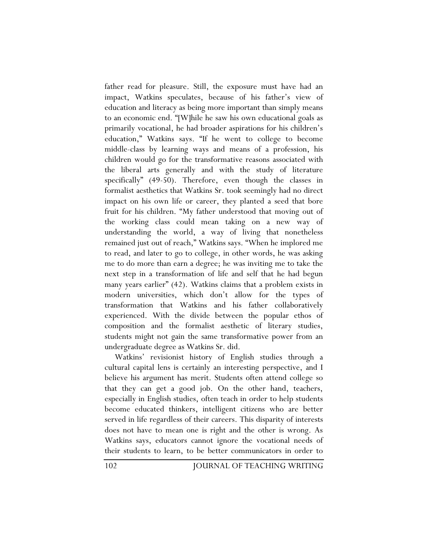father read for pleasure. Still, the exposure must have had an impact, Watkins speculates, because of his father's view of education and literacy as being more important than simply means to an economic end. "[W]hile he saw his own educational goals as primarily vocational, he had broader aspirations for his children's education," Watkins says. "If he went to college to become middle-class by learning ways and means of a profession, his children would go for the transformative reasons associated with the liberal arts generally and with the study of literature specifically" (49-50). Therefore, even though the classes in formalist aesthetics that Watkins Sr. took seemingly had no direct impact on his own life or career, they planted a seed that bore fruit for his children. "My father understood that moving out of the working class could mean taking on a new way of understanding the world, a way of living that nonetheless remained just out of reach," Watkins says. "When he implored me to read, and later to go to college, in other words, he was asking me to do more than earn a degree; he was inviting me to take the next step in a transformation of life and self that he had begun many years earlier" (42). Watkins claims that a problem exists in modern universities, which don't allow for the types of transformation that Watkins and his father collaboratively experienced. With the divide between the popular ethos of composition and the formalist aesthetic of literary studies, students might not gain the same transformative power from an undergraduate degree as Watkins Sr. did.

Watkins' revisionist history of English studies through a cultural capital lens is certainly an interesting perspective, and I believe his argument has merit. Students often attend college so that they can get a good job. On the other hand, teachers, especially in English studies, often teach in order to help students become educated thinkers, intelligent citizens who are better served in life regardless of their careers. This disparity of interests does not have to mean one is right and the other is wrong. As Watkins says, educators cannot ignore the vocational needs of their students to learn, to be better communicators in order to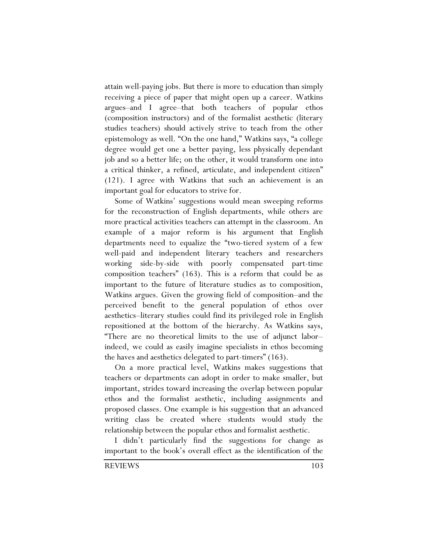attain well-paying jobs. But there is more to education than simply receiving a piece of paper that might open up a career. Watkins argues–and I agree–that both teachers of popular ethos (composition instructors) and of the formalist aesthetic (literary studies teachers) should actively strive to teach from the other epistemology as well. "On the one hand," Watkins says, "a college degree would get one a better paying, less physically dependant job and so a better life; on the other, it would transform one into a critical thinker, a refined, articulate, and independent citizen" (121). I agree with Watkins that such an achievement is an important goal for educators to strive for.

Some of Watkins' suggestions would mean sweeping reforms for the reconstruction of English departments, while others are more practical activities teachers can attempt in the classroom. An example of a major reform is his argument that English departments need to equalize the "two-tiered system of a few well-paid and independent literary teachers and researchers working side-by-side with poorly compensated part-time composition teachers" (163). This is a reform that could be as important to the future of literature studies as to composition, Watkins argues. Given the growing field of composition–and the perceived benefit to the general population of ethos over aesthetics–literary studies could find its privileged role in English repositioned at the bottom of the hierarchy. As Watkins says, "There are no theoretical limits to the use of adjunct labor– indeed, we could as easily imagine specialists in ethos becoming the haves and aesthetics delegated to part-timers" (163).

On a more practical level, Watkins makes suggestions that teachers or departments can adopt in order to make smaller, but important, strides toward increasing the overlap between popular ethos and the formalist aesthetic, including assignments and proposed classes. One example is his suggestion that an advanced writing class be created where students would study the relationship between the popular ethos and formalist aesthetic.

I didn't particularly find the suggestions for change as important to the book's overall effect as the identification of the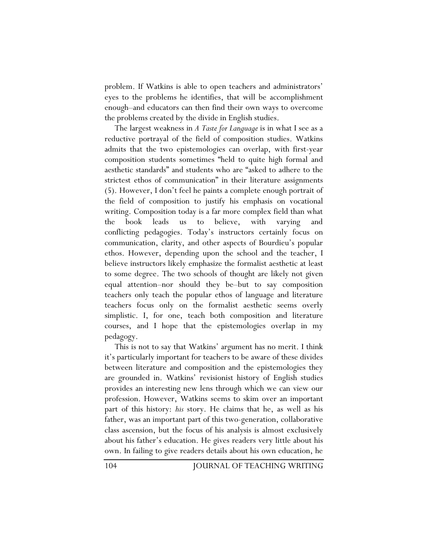problem. If Watkins is able to open teachers and administrators' eyes to the problems he identifies, that will be accomplishment enough–and educators can then find their own ways to overcome the problems created by the divide in English studies.

The largest weakness in *A Taste for Language* is in what I see as a reductive portrayal of the field of composition studies. Watkins admits that the two epistemologies can overlap, with first-year composition students sometimes "held to quite high formal and aesthetic standards" and students who are "asked to adhere to the strictest ethos of communication" in their literature assignments (5). However, I don't feel he paints a complete enough portrait of the field of composition to justify his emphasis on vocational writing. Composition today is a far more complex field than what the book leads us to believe, with varying and conflicting pedagogies. Today's instructors certainly focus on communication, clarity, and other aspects of Bourdieu's popular ethos. However, depending upon the school and the teacher, I believe instructors likely emphasize the formalist aesthetic at least to some degree. The two schools of thought are likely not given equal attention–nor should they be–but to say composition teachers only teach the popular ethos of language and literature teachers focus only on the formalist aesthetic seems overly simplistic. I, for one, teach both composition and literature courses, and I hope that the epistemologies overlap in my pedagogy.

This is not to say that Watkins' argument has no merit. I think it's particularly important for teachers to be aware of these divides between literature and composition and the epistemologies they are grounded in. Watkins' revisionist history of English studies provides an interesting new lens through which we can view our profession. However, Watkins seems to skim over an important part of this history: *his* story. He claims that he, as well as his father, was an important part of this two-generation, collaborative class ascension, but the focus of his analysis is almost exclusively about his father's education. He gives readers very little about his own. In failing to give readers details about his own education, he